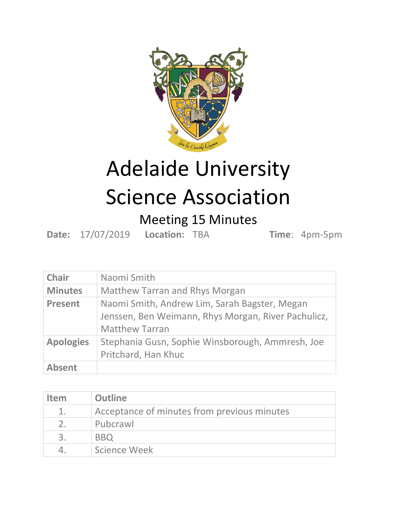

## Adelaide University Science Association

## Meeting 15 Minutes

**Date:** 17/07/2019 **Location:** TBA **Time**: 4pm-5pm

| <b>Chair</b>     | Naomi Smith                                                                                                                   |
|------------------|-------------------------------------------------------------------------------------------------------------------------------|
| <b>Minutes</b>   | <b>Matthew Tarran and Rhys Morgan</b>                                                                                         |
| <b>Present</b>   | Naomi Smith, Andrew Lim, Sarah Bagster, Megan<br>Jenssen, Ben Weimann, Rhys Morgan, River Pachulicz,<br><b>Matthew Tarran</b> |
| <b>Apologies</b> | Stephania Gusn, Sophie Winsborough, Ammresh, Joe<br>Pritchard, Han Khuc                                                       |
| <b>Absent</b>    |                                                                                                                               |

| <b>Item</b>    | <b>Outline</b>                              |
|----------------|---------------------------------------------|
| $1_{\odot}$    | Acceptance of minutes from previous minutes |
| $\overline{2}$ | Pubcrawl                                    |
|                | <b>BBO</b>                                  |
|                | Science Week                                |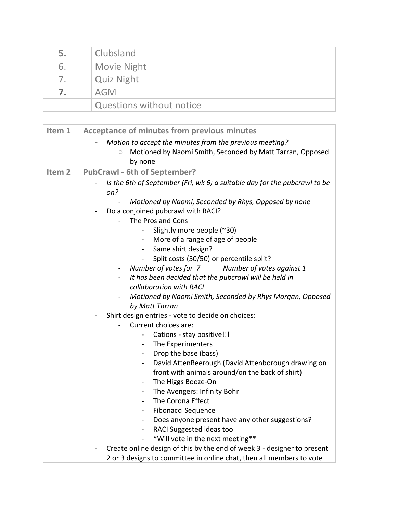| 5. | Clubsland                       |
|----|---------------------------------|
| b. | <b>Movie Night</b>              |
|    | <b>Quiz Night</b>               |
|    | <b>AGM</b>                      |
|    | <b>Questions without notice</b> |

| Item 1            | <b>Acceptance of minutes from previous minutes</b>                                                                                         |
|-------------------|--------------------------------------------------------------------------------------------------------------------------------------------|
|                   | Motion to accept the minutes from the previous meeting?<br>Motioned by Naomi Smith, Seconded by Matt Tarran, Opposed<br>$\circ$<br>by none |
| Item <sub>2</sub> | <b>PubCrawl - 6th of September?</b>                                                                                                        |
|                   | Is the 6th of September (Fri, wk 6) a suitable day for the pubcrawl to be<br>on?                                                           |
|                   | Motioned by Naomi, Seconded by Rhys, Opposed by none                                                                                       |
|                   | Do a conjoined pubcrawl with RACI?                                                                                                         |
|                   | The Pros and Cons                                                                                                                          |
|                   | Slightly more people (~30)                                                                                                                 |
|                   | More of a range of age of people<br>$\blacksquare$                                                                                         |
|                   | Same shirt design?<br>$\sim$                                                                                                               |
|                   | Split costs (50/50) or percentile split?<br>$\blacksquare$<br>Number of votes for 7<br>Number of votes against 1                           |
|                   | $\qquad \qquad \blacksquare$<br>It has been decided that the pubcrawl will be held in<br>$\blacksquare$                                    |
|                   | collaboration with RACI                                                                                                                    |
|                   | Motioned by Naomi Smith, Seconded by Rhys Morgan, Opposed                                                                                  |
|                   | by Matt Tarran                                                                                                                             |
|                   | Shirt design entries - vote to decide on choices:                                                                                          |
|                   | Current choices are:                                                                                                                       |
|                   | Cations - stay positive!!!<br>$\qquad \qquad \blacksquare$                                                                                 |
|                   | The Experimenters<br>$\blacksquare$                                                                                                        |
|                   | Drop the base (bass)<br>$\blacksquare$                                                                                                     |
|                   | David AttenBeerough (David Attenborough drawing on<br>$\overline{\phantom{0}}$                                                             |
|                   | front with animals around/on the back of shirt)                                                                                            |
|                   | The Higgs Booze-On<br>$\blacksquare$                                                                                                       |
|                   | The Avengers: Infinity Bohr<br>$\overline{\phantom{a}}$                                                                                    |
|                   | The Corona Effect<br>$\overline{\phantom{a}}$                                                                                              |
|                   | Fibonacci Sequence<br>$\blacksquare$                                                                                                       |
|                   | Does anyone present have any other suggestions?<br>$\blacksquare$                                                                          |
|                   | RACI Suggested ideas too<br>$\qquad \qquad -$                                                                                              |
|                   | *Will vote in the next meeting**<br>$\overline{\phantom{a}}$                                                                               |
|                   | Create online design of this by the end of week 3 - designer to present                                                                    |
|                   | 2 or 3 designs to committee in online chat, then all members to vote                                                                       |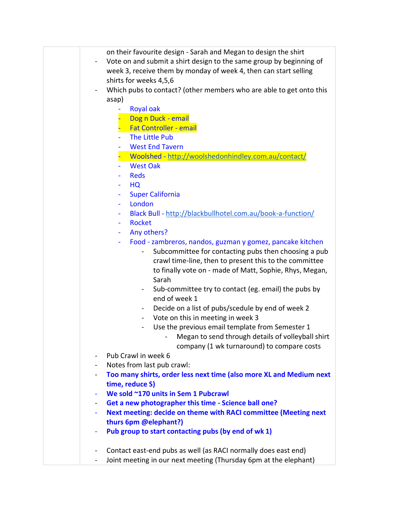| on their favourite design - Sarah and Megan to design the shirt<br>Vote on and submit a shirt design to the same group by beginning of<br>week 3, receive them by monday of week 4, then can start selling<br>shirts for weeks 4,5,6<br>Which pubs to contact? (other members who are able to get onto this<br>asap) |
|----------------------------------------------------------------------------------------------------------------------------------------------------------------------------------------------------------------------------------------------------------------------------------------------------------------------|
| <b>Royal oak</b>                                                                                                                                                                                                                                                                                                     |
| Dog n Duck - email                                                                                                                                                                                                                                                                                                   |
| <b>Fat Controller - email</b>                                                                                                                                                                                                                                                                                        |
| The Little Pub                                                                                                                                                                                                                                                                                                       |
| <b>West End Tavern</b><br>۰                                                                                                                                                                                                                                                                                          |
| Woolshed - http://woolshedonhindley.com.au/contact/                                                                                                                                                                                                                                                                  |
| <b>West Oak</b>                                                                                                                                                                                                                                                                                                      |
| <b>Reds</b>                                                                                                                                                                                                                                                                                                          |
| HQ                                                                                                                                                                                                                                                                                                                   |
| <b>Super California</b><br>۰                                                                                                                                                                                                                                                                                         |
| London                                                                                                                                                                                                                                                                                                               |
| Black Bull - http://blackbullhotel.com.au/book-a-function/<br>٠                                                                                                                                                                                                                                                      |
| <b>Rocket</b><br>÷                                                                                                                                                                                                                                                                                                   |
| Any others?<br>٠                                                                                                                                                                                                                                                                                                     |
| Food - zambreros, nandos, guzman y gomez, pancake kitchen                                                                                                                                                                                                                                                            |
| Subcommittee for contacting pubs then choosing a pub<br>crawl time-line, then to present this to the committee                                                                                                                                                                                                       |
| to finally vote on - made of Matt, Sophie, Rhys, Megan,                                                                                                                                                                                                                                                              |
| Sarah                                                                                                                                                                                                                                                                                                                |
| Sub-committee try to contact (eg. email) the pubs by                                                                                                                                                                                                                                                                 |
| end of week 1                                                                                                                                                                                                                                                                                                        |
| Decide on a list of pubs/scedule by end of week 2                                                                                                                                                                                                                                                                    |
| Vote on this in meeting in week 3<br>$\overline{\phantom{a}}$                                                                                                                                                                                                                                                        |
| Use the previous email template from Semester 1                                                                                                                                                                                                                                                                      |
| Megan to send through details of volleyball shirt                                                                                                                                                                                                                                                                    |
| company (1 wk turnaround) to compare costs                                                                                                                                                                                                                                                                           |
| Pub Crawl in week 6<br>$\blacksquare$                                                                                                                                                                                                                                                                                |
| Notes from last pub crawl:<br>-                                                                                                                                                                                                                                                                                      |
| Too many shirts, order less next time (also more XL and Medium next                                                                                                                                                                                                                                                  |
| time, reduce S)                                                                                                                                                                                                                                                                                                      |
| We sold ~170 units in Sem 1 Pubcrawl                                                                                                                                                                                                                                                                                 |
| Get a new photographer this time - Science ball one?<br>$\blacksquare$                                                                                                                                                                                                                                               |
| Next meeting: decide on theme with RACI committee (Meeting next                                                                                                                                                                                                                                                      |
| thurs 6pm @elephant?)                                                                                                                                                                                                                                                                                                |
| Pub group to start contacting pubs (by end of wk 1)<br>۰                                                                                                                                                                                                                                                             |
|                                                                                                                                                                                                                                                                                                                      |
| Contact east-end pubs as well (as RACI normally does east end)<br>$\blacksquare$                                                                                                                                                                                                                                     |
| Joint meeting in our next meeting (Thursday 6pm at the elephant)                                                                                                                                                                                                                                                     |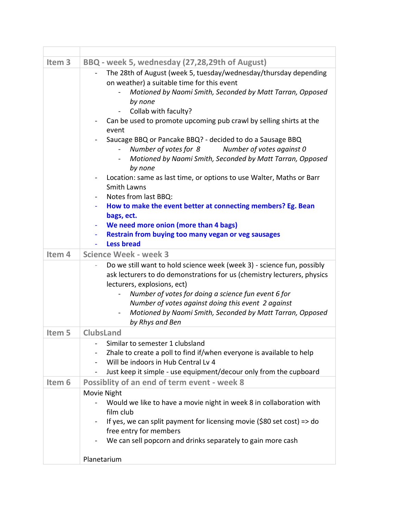| Item <sub>3</sub> | BBQ - week 5, wednesday (27,28,29th of August)                                                                                                                                                                                                                                                                                                                                                                                                                                                                                                                                                                                                                                                                                                                                                                   |
|-------------------|------------------------------------------------------------------------------------------------------------------------------------------------------------------------------------------------------------------------------------------------------------------------------------------------------------------------------------------------------------------------------------------------------------------------------------------------------------------------------------------------------------------------------------------------------------------------------------------------------------------------------------------------------------------------------------------------------------------------------------------------------------------------------------------------------------------|
|                   | The 28th of August (week 5, tuesday/wednesday/thursday depending<br>$\qquad \qquad \blacksquare$<br>on weather) a suitable time for this event<br>Motioned by Naomi Smith, Seconded by Matt Tarran, Opposed<br>by none<br>Collab with faculty?<br>Can be used to promote upcoming pub crawl by selling shirts at the<br>event<br>Saucage BBQ or Pancake BBQ? - decided to do a Sausage BBQ<br>Number of votes for 8<br>Number of votes against 0<br>Motioned by Naomi Smith, Seconded by Matt Tarran, Opposed<br>$\sim$<br>by none<br>Location: same as last time, or options to use Walter, Maths or Barr<br>$\overline{\phantom{a}}$<br><b>Smith Lawns</b><br>Notes from last BBQ:<br>How to make the event better at connecting members? Eg. Bean<br>bags, ect.<br>We need more onion (more than 4 bags)<br>۰ |
|                   | Restrain from buying too many vegan or veg sausages<br><b>Less bread</b>                                                                                                                                                                                                                                                                                                                                                                                                                                                                                                                                                                                                                                                                                                                                         |
| Item 4            | <b>Science Week - week 3</b>                                                                                                                                                                                                                                                                                                                                                                                                                                                                                                                                                                                                                                                                                                                                                                                     |
|                   | Do we still want to hold science week (week 3) - science fun, possibly<br>ask lecturers to do demonstrations for us (chemistry lecturers, physics<br>lecturers, explosions, ect)<br>Number of votes for doing a science fun event 6 for<br>Number of votes against doing this event 2 against<br>Motioned by Naomi Smith, Seconded by Matt Tarran, Opposed<br>by Rhys and Ben                                                                                                                                                                                                                                                                                                                                                                                                                                    |
| Item 5            | <b>ClubsLand</b>                                                                                                                                                                                                                                                                                                                                                                                                                                                                                                                                                                                                                                                                                                                                                                                                 |
|                   | Similar to semester 1 clubsland<br>Zhale to create a poll to find if/when everyone is available to help<br>Will be indoors in Hub Central Lv 4<br>Just keep it simple - use equipment/decour only from the cupboard                                                                                                                                                                                                                                                                                                                                                                                                                                                                                                                                                                                              |
| Item <sub>6</sub> | Possiblity of an end of term event - week 8                                                                                                                                                                                                                                                                                                                                                                                                                                                                                                                                                                                                                                                                                                                                                                      |
|                   | Movie Night<br>Would we like to have a movie night in week 8 in collaboration with<br>film club<br>If yes, we can split payment for licensing movie (\$80 set cost) = $>$ do<br>free entry for members<br>We can sell popcorn and drinks separately to gain more cash<br>Planetarium                                                                                                                                                                                                                                                                                                                                                                                                                                                                                                                             |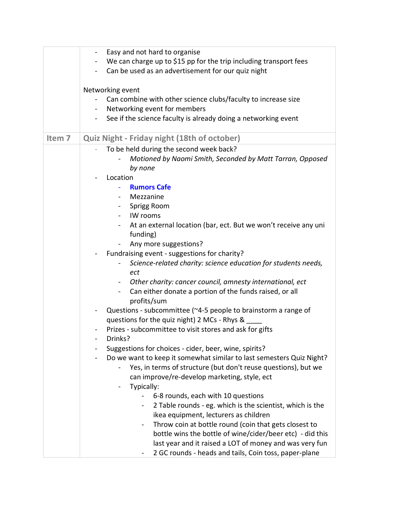|                   | Easy and not hard to organise<br>$\overline{\phantom{a}}$                        |
|-------------------|----------------------------------------------------------------------------------|
|                   | We can charge up to \$15 pp for the trip including transport fees                |
|                   | Can be used as an advertisement for our quiz night                               |
|                   |                                                                                  |
|                   | Networking event                                                                 |
|                   | Can combine with other science clubs/faculty to increase size                    |
|                   | Networking event for members                                                     |
|                   | See if the science faculty is already doing a networking event<br>$\blacksquare$ |
|                   |                                                                                  |
| Item <sub>7</sub> | Quiz Night - Friday night (18th of october)                                      |
|                   | To be held during the second week back?                                          |
|                   | Motioned by Naomi Smith, Seconded by Matt Tarran, Opposed                        |
|                   | by none                                                                          |
|                   | Location                                                                         |
|                   | <b>Rumors Cafe</b>                                                               |
|                   | Mezzanine<br>$\sim$                                                              |
|                   | Sprigg Room<br>$\sim$                                                            |
|                   | IW rooms<br>$\sim$ 10 $\pm$                                                      |
|                   | At an external location (bar, ect. But we won't receive any uni                  |
|                   | funding)                                                                         |
|                   | Any more suggestions?                                                            |
|                   | Fundraising event - suggestions for charity?                                     |
|                   | Science-related charity: science education for students needs,                   |
|                   | ect                                                                              |
|                   | Other charity: cancer council, amnesty international, ect<br>$\sim$ $-$          |
|                   | Can either donate a portion of the funds raised, or all                          |
|                   | profits/sum                                                                      |
|                   | Questions - subcommittee (~4-5 people to brainstorm a range of                   |
|                   | questions for the quiz night) 2 MCs - Rhys &                                     |
|                   | Prizes - subcommittee to visit stores and ask for gifts                          |
|                   | Drinks?                                                                          |
|                   | Suggestions for choices - cider, beer, wine, spirits?                            |
|                   | Do we want to keep it somewhat similar to last semesters Quiz Night?             |
|                   | Yes, in terms of structure (but don't reuse questions), but we                   |
|                   | can improve/re-develop marketing, style, ect                                     |
|                   | Typically:                                                                       |
|                   | 6-8 rounds, each with 10 questions                                               |
|                   | 2 Table rounds - eg. which is the scientist, which is the                        |
|                   | ikea equipment, lecturers as children                                            |
|                   | Throw coin at bottle round (coin that gets closest to                            |
|                   | bottle wins the bottle of wine/cider/beer etc) - did this                        |
|                   | last year and it raised a LOT of money and was very fun                          |
|                   | 2 GC rounds - heads and tails, Coin toss, paper-plane                            |